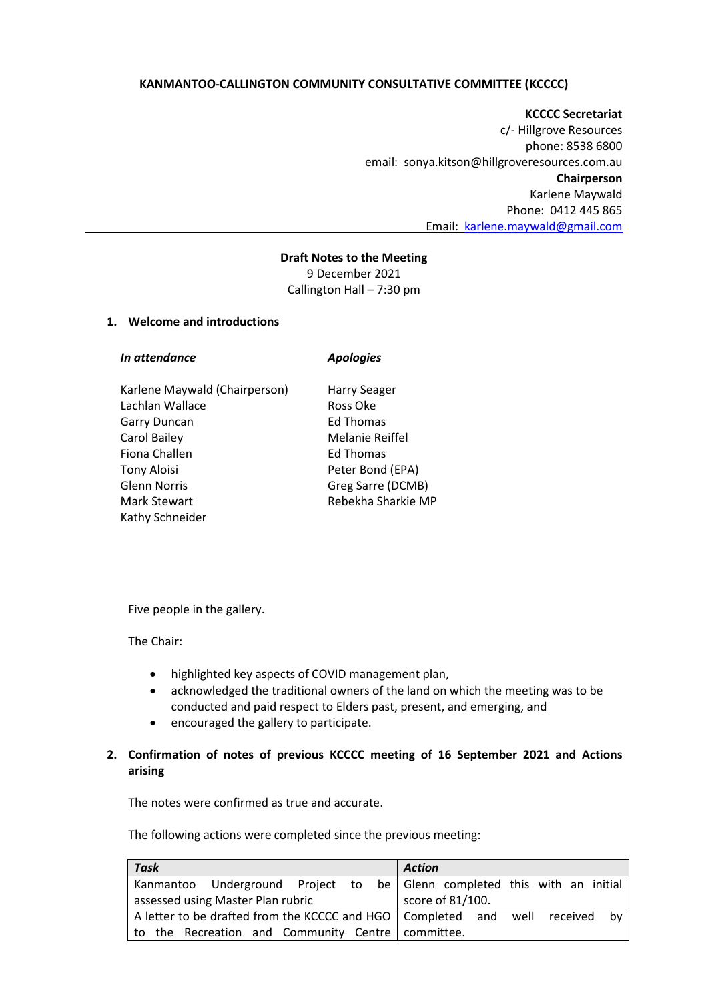## **KANMANTOO-CALLINGTON COMMUNITY CONSULTATIVE COMMITTEE (KCCCC)**

**KCCCC Secretariat** c/- Hillgrove Resources phone: 8538 6800 email: sonya.kitson@hillgroveresources.com.au **Chairperson** Karlene Maywald Phone: 0412 445 865 Email: [karlene.maywald@gmail.com](mailto:karlene.maywald@gmail.com)

### **Draft Notes to the Meeting**

9 December 2021 Callington Hall – 7:30 pm

### **1. Welcome and introductions**

| In attendance                 | <b>Apologies</b>    |
|-------------------------------|---------------------|
| Karlene Maywald (Chairperson) | <b>Harry Seager</b> |
| Lachlan Wallace               | Ross Oke            |
| <b>Garry Duncan</b>           | Ed Thomas           |
| Carol Bailey                  | Melanie Reiffel     |
| Fiona Challen                 | Ed Thomas           |
| <b>Tony Aloisi</b>            | Peter Bond (EPA)    |
| <b>Glenn Norris</b>           | Greg Sarre (DCMB)   |
| Mark Stewart                  | Rebekha Sharkie MP  |

Five people in the gallery.

The Chair:

Kathy Schneider

- highlighted key aspects of COVID management plan,
- acknowledged the traditional owners of the land on which the meeting was to be conducted and paid respect to Elders past, present, and emerging, and
- encouraged the gallery to participate.

## **2. Confirmation of notes of previous KCCCC meeting of 16 September 2021 and Actions arising**

The notes were confirmed as true and accurate.

The following actions were completed since the previous meeting:

| Task                                                | <b>Action</b>                                                                     |
|-----------------------------------------------------|-----------------------------------------------------------------------------------|
|                                                     | Kanmantoo Underground Project to be Glenn completed this with an initial          |
| assessed using Master Plan rubric                   | score of 81/100.                                                                  |
|                                                     | A letter to be drafted from the KCCCC and HGO   Completed and well received<br>bv |
| to the Recreation and Community Centre   committee. |                                                                                   |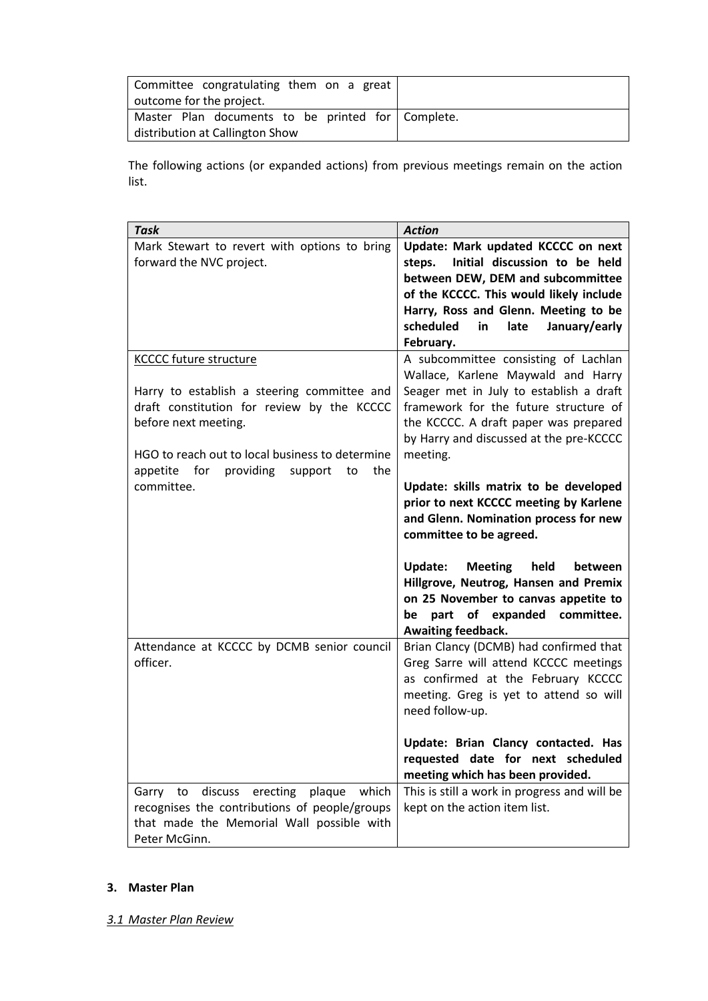| Committee congratulating them on a great          |  |
|---------------------------------------------------|--|
| outcome for the project.                          |  |
| Master Plan documents to be printed for Complete. |  |
| distribution at Callington Show                   |  |

The following actions (or expanded actions) from previous meetings remain on the action list.

| <b>Task</b>                                          | <b>Action</b>                                                                   |
|------------------------------------------------------|---------------------------------------------------------------------------------|
| Mark Stewart to revert with options to bring         | Update: Mark updated KCCCC on next                                              |
| forward the NVC project.                             | Initial discussion to be held<br>steps.                                         |
|                                                      | between DEW, DEM and subcommittee                                               |
|                                                      | of the KCCCC. This would likely include<br>Harry, Ross and Glenn. Meeting to be |
|                                                      | scheduled<br>late<br>January/early<br>in                                        |
|                                                      | February.                                                                       |
| <b>KCCCC future structure</b>                        | A subcommittee consisting of Lachlan<br>Wallace, Karlene Maywald and Harry      |
| Harry to establish a steering committee and          | Seager met in July to establish a draft                                         |
| draft constitution for review by the KCCCC           | framework for the future structure of                                           |
| before next meeting.                                 | the KCCCC. A draft paper was prepared                                           |
|                                                      | by Harry and discussed at the pre-KCCCC                                         |
| HGO to reach out to local business to determine      | meeting.                                                                        |
| for<br>providing<br>the<br>appetite<br>support<br>to |                                                                                 |
| committee.                                           | Update: skills matrix to be developed                                           |
|                                                      | prior to next KCCCC meeting by Karlene<br>and Glenn. Nomination process for new |
|                                                      | committee to be agreed.                                                         |
|                                                      |                                                                                 |
|                                                      | held<br>Update:<br>Meeting<br>between                                           |
|                                                      | Hillgrove, Neutrog, Hansen and Premix                                           |
|                                                      | on 25 November to canvas appetite to                                            |
|                                                      | of expanded<br>committee.<br>part<br>be                                         |
| Attendance at KCCCC by DCMB senior council           | Awaiting feedback.<br>Brian Clancy (DCMB) had confirmed that                    |
| officer.                                             | Greg Sarre will attend KCCCC meetings                                           |
|                                                      | as confirmed at the February KCCCC                                              |
|                                                      | meeting. Greg is yet to attend so will                                          |
|                                                      | need follow-up.                                                                 |
|                                                      | Update: Brian Clancy contacted. Has                                             |
|                                                      | requested date for next scheduled                                               |
|                                                      | meeting which has been provided.                                                |
| discuss<br>erecting plaque<br>which<br>Garry<br>to   | This is still a work in progress and will be                                    |
| recognises the contributions of people/groups        | kept on the action item list.                                                   |
| that made the Memorial Wall possible with            |                                                                                 |
| Peter McGinn.                                        |                                                                                 |

### **3. Master Plan**

*3.1 Master Plan Review*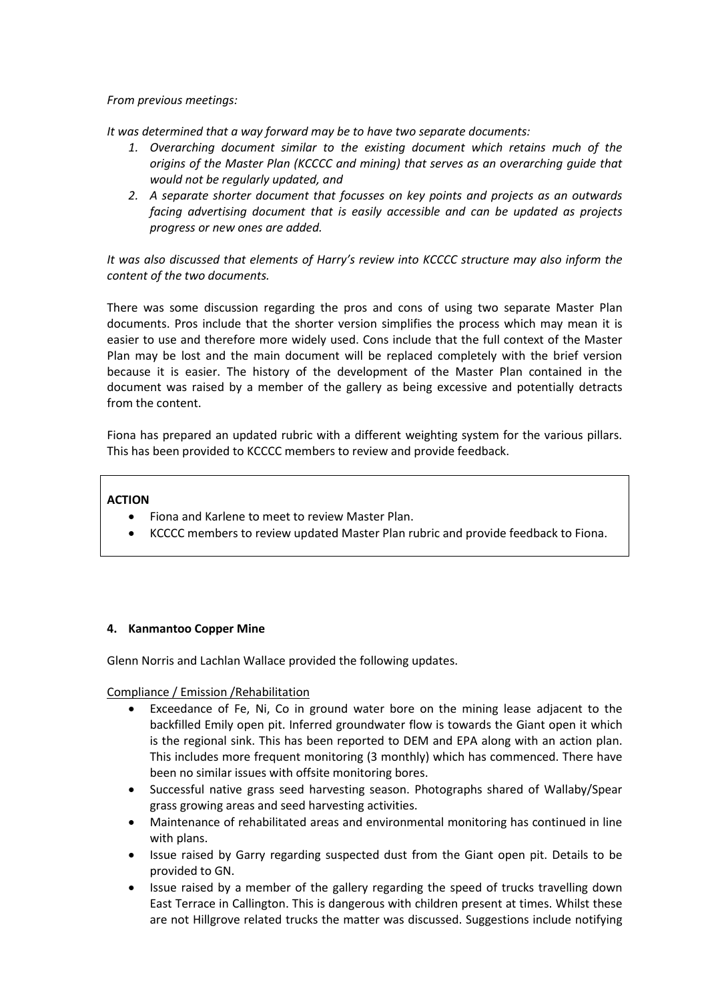*From previous meetings:*

*It was determined that a way forward may be to have two separate documents:*

- *1. Overarching document similar to the existing document which retains much of the origins of the Master Plan (KCCCC and mining) that serves as an overarching guide that would not be regularly updated, and*
- *2. A separate shorter document that focusses on key points and projects as an outwards facing advertising document that is easily accessible and can be updated as projects progress or new ones are added.*

*It was also discussed that elements of Harry's review into KCCCC structure may also inform the content of the two documents.*

There was some discussion regarding the pros and cons of using two separate Master Plan documents. Pros include that the shorter version simplifies the process which may mean it is easier to use and therefore more widely used. Cons include that the full context of the Master Plan may be lost and the main document will be replaced completely with the brief version because it is easier. The history of the development of the Master Plan contained in the document was raised by a member of the gallery as being excessive and potentially detracts from the content.

Fiona has prepared an updated rubric with a different weighting system for the various pillars. This has been provided to KCCCC members to review and provide feedback.

### **ACTION**

- Fiona and Karlene to meet to review Master Plan.
- KCCCC members to review updated Master Plan rubric and provide feedback to Fiona.

### **4. Kanmantoo Copper Mine**

Glenn Norris and Lachlan Wallace provided the following updates.

Compliance / Emission /Rehabilitation

- Exceedance of Fe, Ni, Co in ground water bore on the mining lease adjacent to the backfilled Emily open pit. Inferred groundwater flow is towards the Giant open it which is the regional sink. This has been reported to DEM and EPA along with an action plan. This includes more frequent monitoring (3 monthly) which has commenced. There have been no similar issues with offsite monitoring bores.
- Successful native grass seed harvesting season. Photographs shared of Wallaby/Spear grass growing areas and seed harvesting activities.
- Maintenance of rehabilitated areas and environmental monitoring has continued in line with plans.
- Issue raised by Garry regarding suspected dust from the Giant open pit. Details to be provided to GN.
- Issue raised by a member of the gallery regarding the speed of trucks travelling down East Terrace in Callington. This is dangerous with children present at times. Whilst these are not Hillgrove related trucks the matter was discussed. Suggestions include notifying